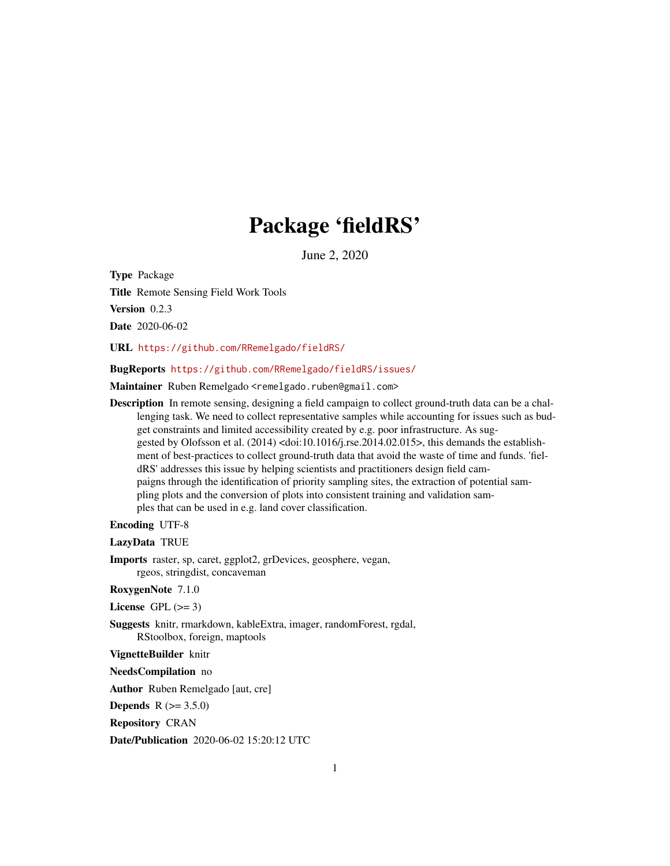# Package 'fieldRS'

June 2, 2020

<span id="page-0-0"></span>Type Package

Title Remote Sensing Field Work Tools

Version 0.2.3

Date 2020-06-02

URL <https://github.com/RRemelgado/fieldRS/>

BugReports <https://github.com/RRemelgado/fieldRS/issues/>

Maintainer Ruben Remelgado <remelgado.ruben@gmail.com>

Description In remote sensing, designing a field campaign to collect ground-truth data can be a challenging task. We need to collect representative samples while accounting for issues such as budget constraints and limited accessibility created by e.g. poor infrastructure. As suggested by Olofsson et al. (2014) <doi:10.1016/j.rse.2014.02.015>, this demands the establishment of best-practices to collect ground-truth data that avoid the waste of time and funds. 'fieldRS' addresses this issue by helping scientists and practitioners design field campaigns through the identification of priority sampling sites, the extraction of potential sampling plots and the conversion of plots into consistent training and validation samples that can be used in e.g. land cover classification.

### Encoding UTF-8

LazyData TRUE

Imports raster, sp, caret, ggplot2, grDevices, geosphere, vegan, rgeos, stringdist, concaveman

RoxygenNote 7.1.0

License GPL  $(>= 3)$ 

Suggests knitr, rmarkdown, kableExtra, imager, randomForest, rgdal, RStoolbox, foreign, maptools

VignetteBuilder knitr

NeedsCompilation no

Author Ruben Remelgado [aut, cre]

**Depends** R  $(>= 3.5.0)$ 

Repository CRAN

Date/Publication 2020-06-02 15:20:12 UTC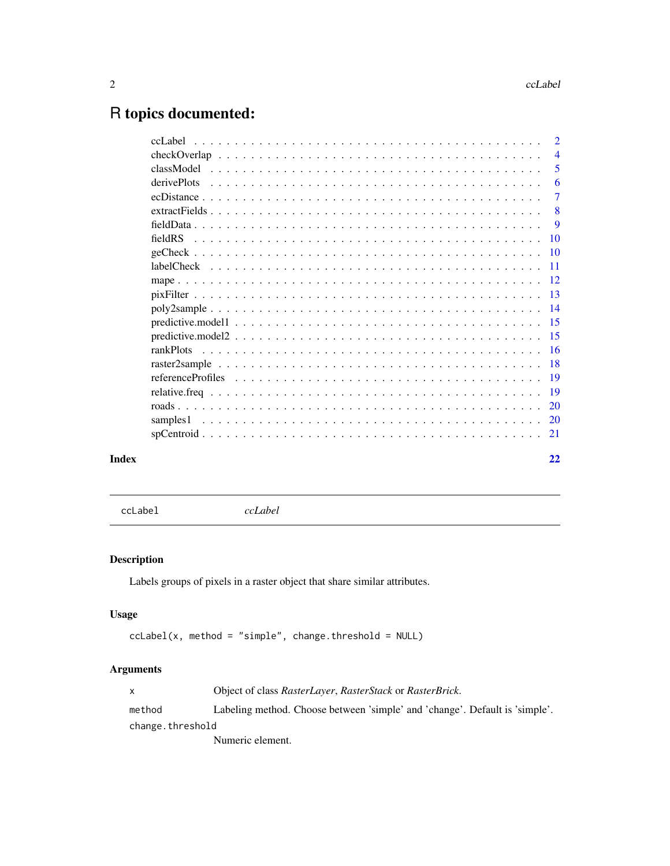# <span id="page-1-0"></span>R topics documented:

|       |                 | $\overline{2}$ |
|-------|-----------------|----------------|
|       |                 | $\overline{4}$ |
|       |                 | 5              |
|       | derivePlots     | 6              |
|       |                 | $\tau$         |
|       |                 | 8              |
|       |                 | -9             |
|       | 10              |                |
|       | $\overline{10}$ |                |
|       | $-11$           |                |
|       |                 |                |
|       | $-13$           |                |
|       |                 |                |
|       | 15              |                |
|       |                 |                |
|       | rankPlots       |                |
|       | -18             |                |
|       |                 |                |
|       | -19             |                |
|       | 20              |                |
|       | samples1        |                |
|       |                 |                |
| Index | 22              |                |

<span id="page-1-1"></span>ccLabel *ccLabel*

# Description

Labels groups of pixels in a raster object that share similar attributes.

# Usage

```
cclabel(x, method = "simple", change.threshold = NULL)
```
# Arguments

| X                | Object of class RasterLayer, RasterStack or RasterBrick.                    |  |
|------------------|-----------------------------------------------------------------------------|--|
| method           | Labeling method. Choose between 'simple' and 'change'. Default is 'simple'. |  |
| change.threshold |                                                                             |  |
|                  | Numeric element.                                                            |  |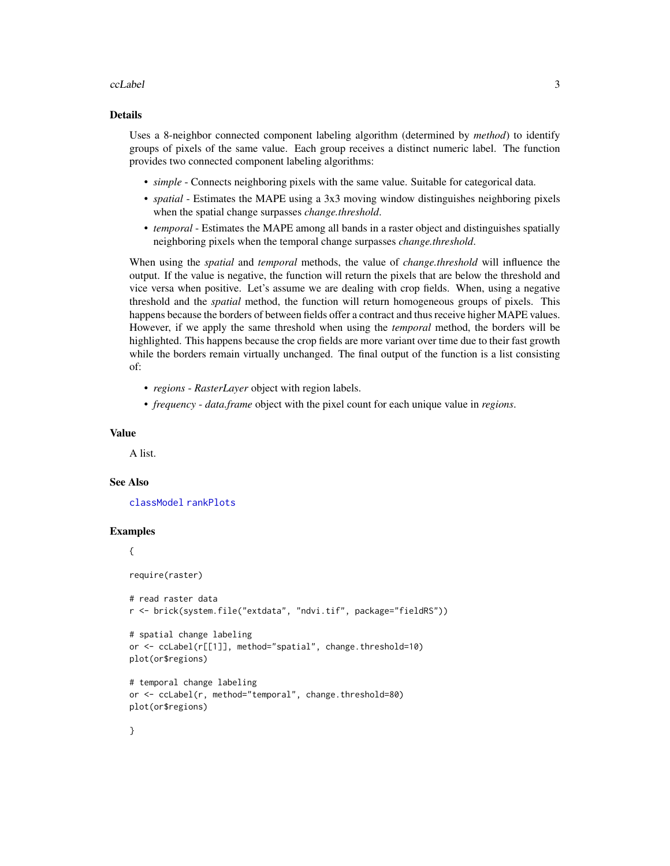### <span id="page-2-0"></span>ccLabel 3

### Details

Uses a 8-neighbor connected component labeling algorithm (determined by *method*) to identify groups of pixels of the same value. Each group receives a distinct numeric label. The function provides two connected component labeling algorithms:

- *simple* Connects neighboring pixels with the same value. Suitable for categorical data.
- *spatial* Estimates the MAPE using a 3x3 moving window distinguishes neighboring pixels when the spatial change surpasses *change.threshold*.
- *temporal* Estimates the MAPE among all bands in a raster object and distinguishes spatially neighboring pixels when the temporal change surpasses *change.threshold*.

When using the *spatial* and *temporal* methods, the value of *change.threshold* will influence the output. If the value is negative, the function will return the pixels that are below the threshold and vice versa when positive. Let's assume we are dealing with crop fields. When, using a negative threshold and the *spatial* method, the function will return homogeneous groups of pixels. This happens because the borders of between fields offer a contract and thus receive higher MAPE values. However, if we apply the same threshold when using the *temporal* method, the borders will be highlighted. This happens because the crop fields are more variant over time due to their fast growth while the borders remain virtually unchanged. The final output of the function is a list consisting of:

- *regions RasterLayer* object with region labels.
- *frequency data.frame* object with the pixel count for each unique value in *regions*.

### Value

A list.

### See Also

[classModel](#page-4-1) [rankPlots](#page-15-1)

### Examples

# {

require(raster)

```
# read raster data
r <- brick(system.file("extdata", "ndvi.tif", package="fieldRS"))
```

```
# spatial change labeling
or <- ccLabel(r[[1]], method="spatial", change.threshold=10)
plot(or$regions)
```

```
# temporal change labeling
or <- ccLabel(r, method="temporal", change.threshold=80)
plot(or$regions)
```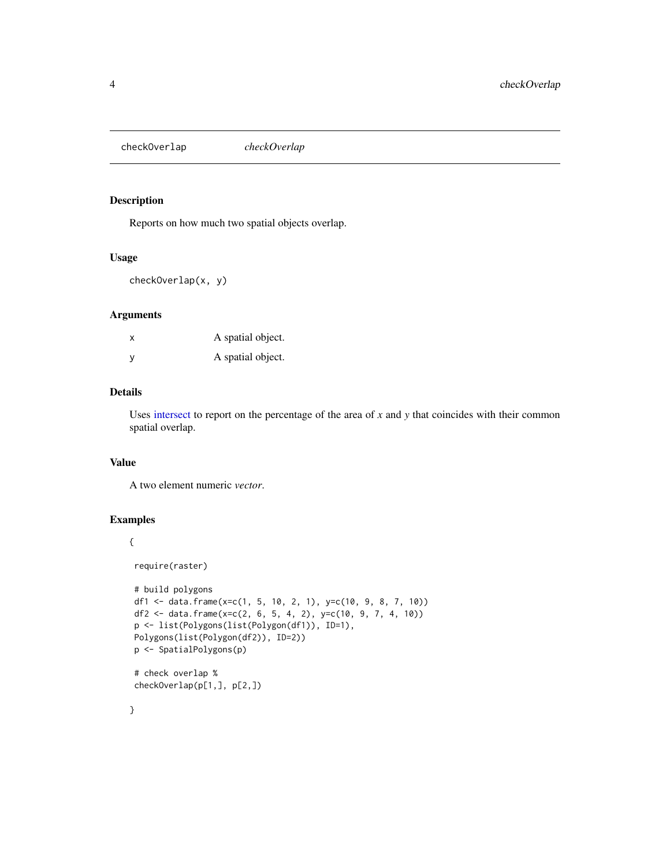<span id="page-3-0"></span>checkOverlap *checkOverlap*

# Description

Reports on how much two spatial objects overlap.

# Usage

checkOverlap(x, y)

# Arguments

|   | A spatial object. |
|---|-------------------|
| y | A spatial object. |

# Details

Uses [intersect](#page-0-0) to report on the percentage of the area of *x* and *y* that coincides with their common spatial overlap.

### Value

A two element numeric *vector*.

# Examples

# {

require(raster)

```
# build polygons
df1 <- data.frame(x=c(1, 5, 10, 2, 1), y=c(10, 9, 8, 7, 10))
df2 <- data.frame(x=c(2, 6, 5, 4, 2), y=c(10, 9, 7, 4, 10))
p <- list(Polygons(list(Polygon(df1)), ID=1),
Polygons(list(Polygon(df2)), ID=2))
p <- SpatialPolygons(p)
# check overlap %
checkOverlap(p[1,], p[2,])
```
}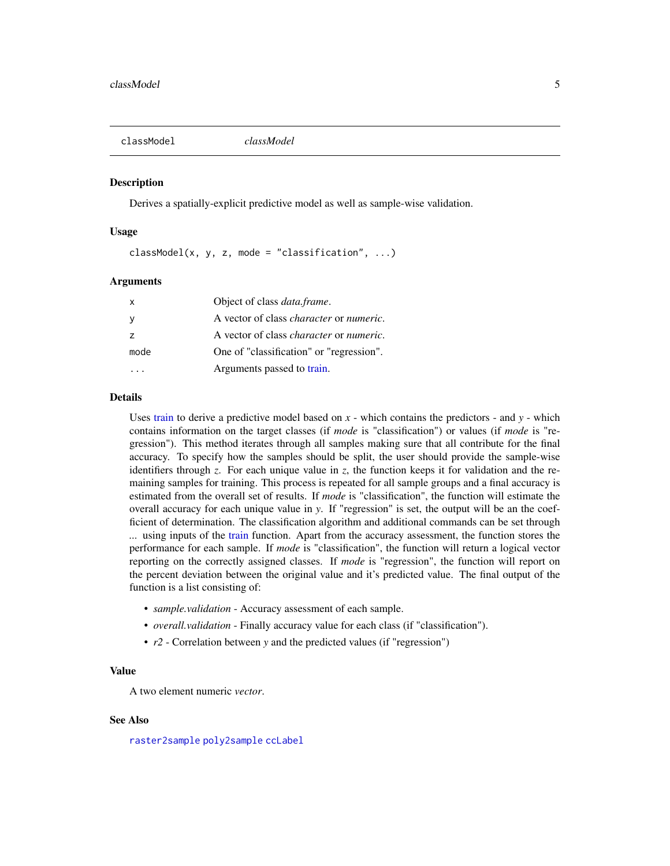<span id="page-4-1"></span><span id="page-4-0"></span>classModel *classModel*

### Description

Derives a spatially-explicit predictive model as well as sample-wise validation.

### Usage

 $classModel(x, y, z, mode = "classification", ...)$ 

### Arguments

| $\mathsf{x}$   | Object of class <i>data.frame</i> .                    |
|----------------|--------------------------------------------------------|
|                | A vector of class <i>character</i> or <i>numeric</i> . |
| $\overline{z}$ | A vector of class <i>character</i> or <i>numeric</i> . |
| mode           | One of "classification" or "regression".               |
|                | Arguments passed to train.                             |

### Details

Uses [train](#page-0-0) to derive a predictive model based on  $x$  - which contains the predictors - and  $y$  - which contains information on the target classes (if *mode* is "classification") or values (if *mode* is "regression"). This method iterates through all samples making sure that all contribute for the final accuracy. To specify how the samples should be split, the user should provide the sample-wise identifiers through *z*. For each unique value in *z*, the function keeps it for validation and the remaining samples for training. This process is repeated for all sample groups and a final accuracy is estimated from the overall set of results. If *mode* is "classification", the function will estimate the overall accuracy for each unique value in *y*. If "regression" is set, the output will be an the coefficient of determination. The classification algorithm and additional commands can be set through *...* using inputs of the [train](#page-0-0) function. Apart from the accuracy assessment, the function stores the performance for each sample. If *mode* is "classification", the function will return a logical vector reporting on the correctly assigned classes. If *mode* is "regression", the function will report on the percent deviation between the original value and it's predicted value. The final output of the function is a list consisting of:

- *sample.validation* Accuracy assessment of each sample.
- *overall.validation* Finally accuracy value for each class (if "classification").
- *r2* Correlation between *y* and the predicted values (if "regression")

# Value

A two element numeric *vector*.

### See Also

[raster2sample](#page-17-1) [poly2sample](#page-13-1) [ccLabel](#page-1-1)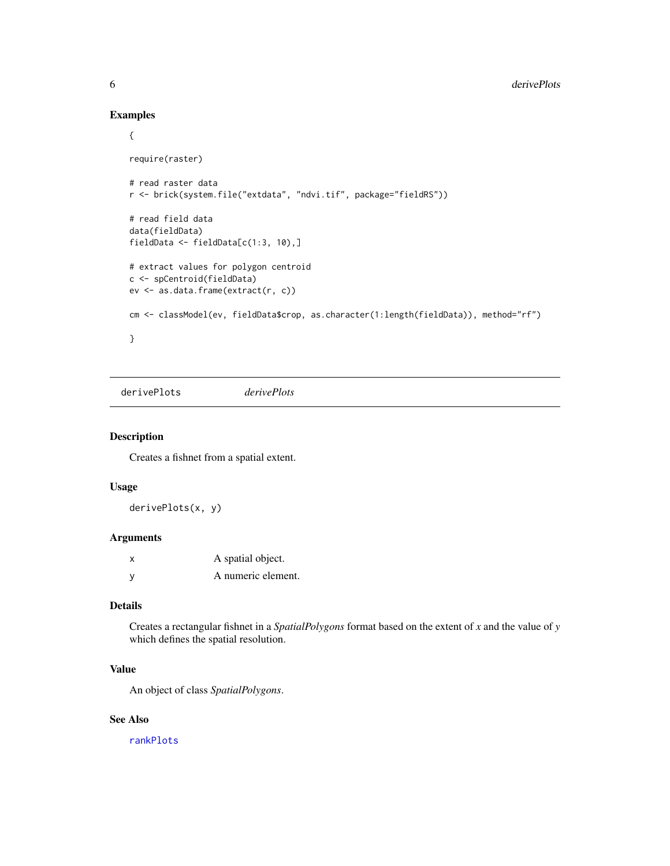# Examples

```
{
require(raster)
# read raster data
r <- brick(system.file("extdata", "ndvi.tif", package="fieldRS"))
# read field data
data(fieldData)
fieldData <- fieldData[c(1:3, 10),]
# extract values for polygon centroid
c <- spCentroid(fieldData)
ev <- as.data.frame(extract(r, c))
cm <- classModel(ev, fieldData$crop, as.character(1:length(fieldData)), method="rf")
}
```
<span id="page-5-1"></span>derivePlots *derivePlots*

# Description

Creates a fishnet from a spatial extent.

# Usage

derivePlots(x, y)

### Arguments

| x | A spatial object.  |
|---|--------------------|
| ٧ | A numeric element. |

### Details

Creates a rectangular fishnet in a *SpatialPolygons* format based on the extent of *x* and the value of *y* which defines the spatial resolution.

# Value

An object of class *SpatialPolygons*.

# See Also

[rankPlots](#page-15-1)

<span id="page-5-0"></span>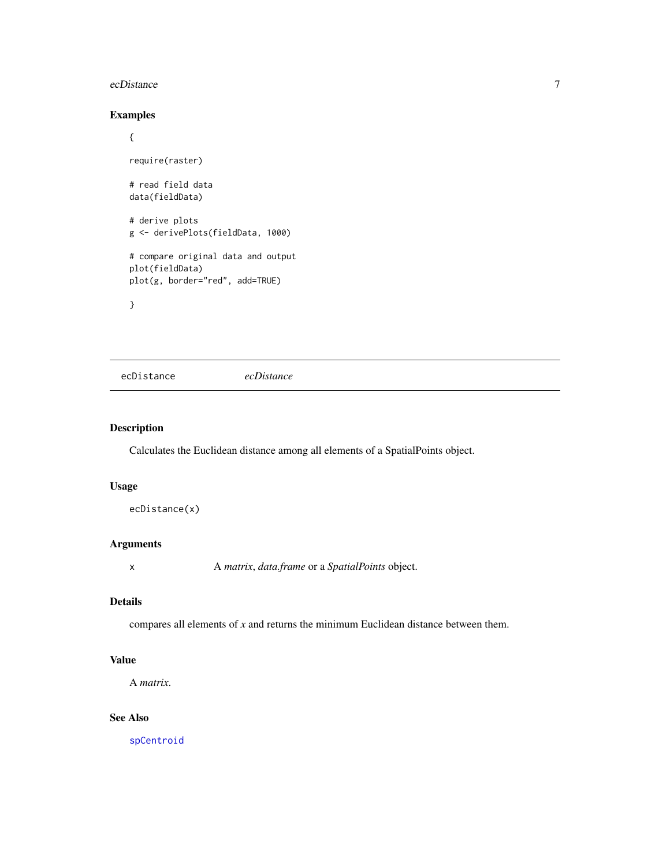### <span id="page-6-0"></span>ecDistance 7 and 2012 1 and 2012 1 and 2012 1 and 2012 1 and 2012 1 and 2012 1 and 2012 1 and 2012 1 and 2012 1 and 2012 1 and 2012 1 and 2012 1 and 2012 1 and 2012 1 and 2012 1 and 2012 1 and 2012 1 and 2012 1 and 2012 1

# Examples

```
{
require(raster)
# read field data
data(fieldData)
# derive plots
g <- derivePlots(fieldData, 1000)
# compare original data and output
plot(fieldData)
plot(g, border="red", add=TRUE)
}
```
<span id="page-6-1"></span>ecDistance *ecDistance*

# Description

Calculates the Euclidean distance among all elements of a SpatialPoints object.

# Usage

```
ecDistance(x)
```
# Arguments

x A *matrix*, *data.frame* or a *SpatialPoints* object.

# Details

compares all elements of *x* and returns the minimum Euclidean distance between them.

# Value

A *matrix*.

# See Also

[spCentroid](#page-20-1)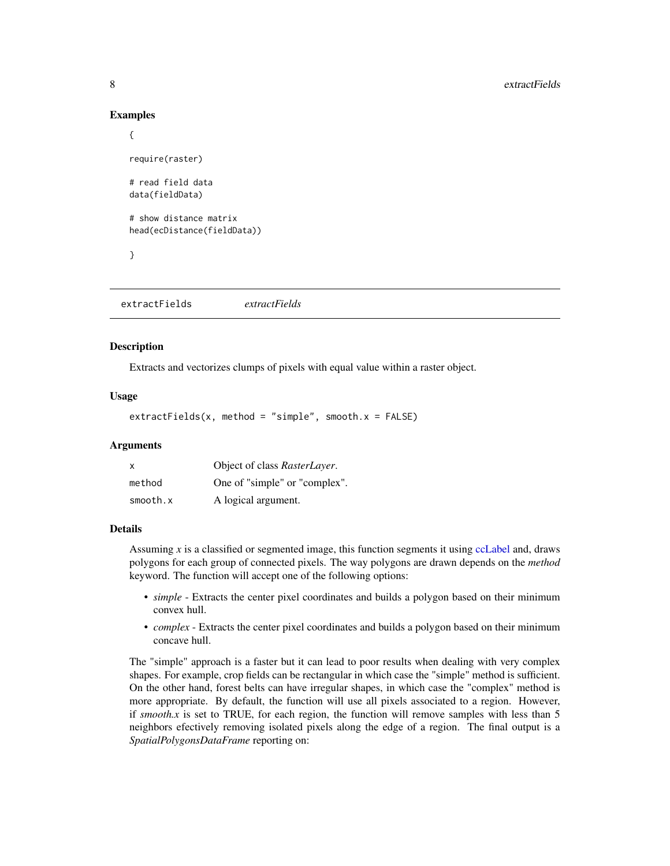### Examples

```
{
require(raster)
# read field data
data(fieldData)
# show distance matrix
head(ecDistance(fieldData))
}
```
<span id="page-7-1"></span>extractFields *extractFields*

# **Description**

Extracts and vectorizes clumps of pixels with equal value within a raster object.

# Usage

 $extractFields(x, method = "simple", smooth.x = FALSE)$ 

# Arguments

| $\mathsf{x}$ | Object of class RasterLayer.  |
|--------------|-------------------------------|
| method       | One of "simple" or "complex". |
| smooth.x     | A logical argument.           |

# Details

Assuming *x* is a classified or segmented image, this function segments it using [ccLabel](#page-1-1) and, draws polygons for each group of connected pixels. The way polygons are drawn depends on the *method* keyword. The function will accept one of the following options:

- *simple* Extracts the center pixel coordinates and builds a polygon based on their minimum convex hull.
- *complex* Extracts the center pixel coordinates and builds a polygon based on their minimum concave hull.

The "simple" approach is a faster but it can lead to poor results when dealing with very complex shapes. For example, crop fields can be rectangular in which case the "simple" method is sufficient. On the other hand, forest belts can have irregular shapes, in which case the "complex" method is more appropriate. By default, the function will use all pixels associated to a region. However, if *smooth.x* is set to TRUE, for each region, the function will remove samples with less than 5 neighbors efectively removing isolated pixels along the edge of a region. The final output is a *SpatialPolygonsDataFrame* reporting on:

<span id="page-7-0"></span>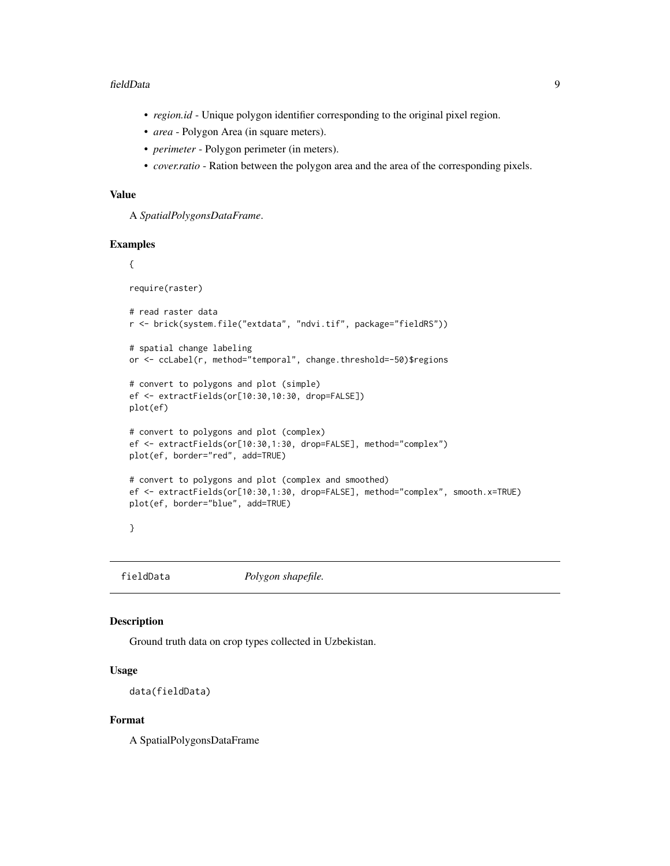### <span id="page-8-0"></span>fieldData 9

- *region.id* Unique polygon identifier corresponding to the original pixel region.
- *area* Polygon Area (in square meters).
- *perimeter* Polygon perimeter (in meters).
- *cover.ratio* Ration between the polygon area and the area of the corresponding pixels.

### Value

A *SpatialPolygonsDataFrame*.

### Examples

### {

```
require(raster)
```

```
# read raster data
r <- brick(system.file("extdata", "ndvi.tif", package="fieldRS"))
```

```
# spatial change labeling
or <- ccLabel(r, method="temporal", change.threshold=-50)$regions
```

```
# convert to polygons and plot (simple)
ef <- extractFields(or[10:30,10:30, drop=FALSE])
plot(ef)
```

```
# convert to polygons and plot (complex)
ef <- extractFields(or[10:30,1:30, drop=FALSE], method="complex")
plot(ef, border="red", add=TRUE)
```

```
# convert to polygons and plot (complex and smoothed)
ef <- extractFields(or[10:30,1:30, drop=FALSE], method="complex", smooth.x=TRUE)
plot(ef, border="blue", add=TRUE)
```

```
}
```
fieldData *Polygon shapefile.*

### Description

Ground truth data on crop types collected in Uzbekistan.

# Usage

data(fieldData)

# Format

A SpatialPolygonsDataFrame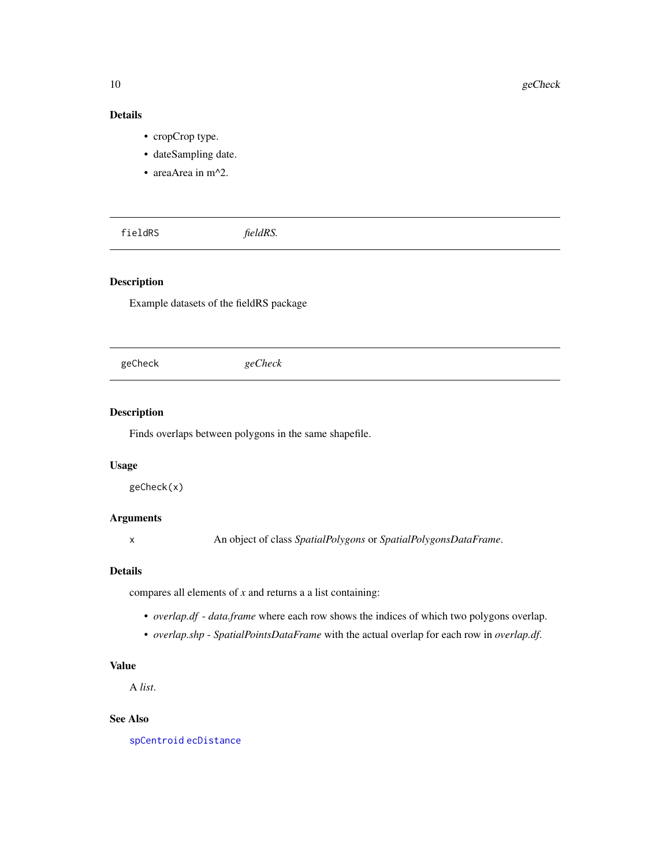# Details

- cropCrop type.
- dateSampling date.
- areaArea in m^2.

fieldRS *fieldRS.*

# Description

Example datasets of the fieldRS package

geCheck *geCheck*

### Description

Finds overlaps between polygons in the same shapefile.

# Usage

geCheck(x)

# Arguments

x An object of class *SpatialPolygons* or *SpatialPolygonsDataFrame*.

### Details

compares all elements of *x* and returns a a list containing:

- *overlap.df data.frame* where each row shows the indices of which two polygons overlap.
- *overlap.shp SpatialPointsDataFrame* with the actual overlap for each row in *overlap.df*.

# Value

A *list*.

### See Also

[spCentroid](#page-20-1) [ecDistance](#page-6-1)

<span id="page-9-0"></span>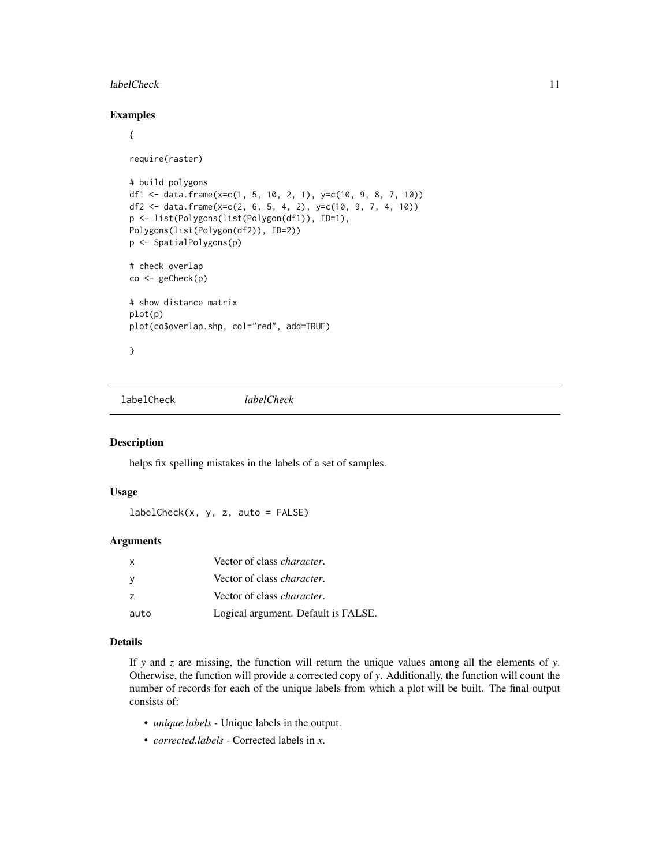### <span id="page-10-0"></span>labelCheck 11

# Examples

```
{
require(raster)
# build polygons
df1 <- data.frame(x=c(1, 5, 10, 2, 1), y=c(10, 9, 8, 7, 10))
df2 <- data.frame(x=c(2, 6, 5, 4, 2), y=c(10, 9, 7, 4, 10))
p <- list(Polygons(list(Polygon(df1)), ID=1),
Polygons(list(Polygon(df2)), ID=2))
p <- SpatialPolygons(p)
# check overlap
co <- geCheck(p)
# show distance matrix
plot(p)
plot(co$overlap.shp, col="red", add=TRUE)
}
```
labelCheck *labelCheck*

### Description

helps fix spelling mistakes in the labels of a set of samples.

### Usage

 $labelCheck(x, y, z, auto = FALSE)$ 

### Arguments

| x    | Vector of class <i>character</i> .  |
|------|-------------------------------------|
|      | Vector of class <i>character</i> .  |
|      | Vector of class <i>character</i> .  |
| auto | Logical argument. Default is FALSE. |

# Details

If *y* and *z* are missing, the function will return the unique values among all the elements of *y*. Otherwise, the function will provide a corrected copy of *y*. Additionally, the function will count the number of records for each of the unique labels from which a plot will be built. The final output consists of:

- *unique.labels* Unique labels in the output.
- *corrected.labels* Corrected labels in *x*.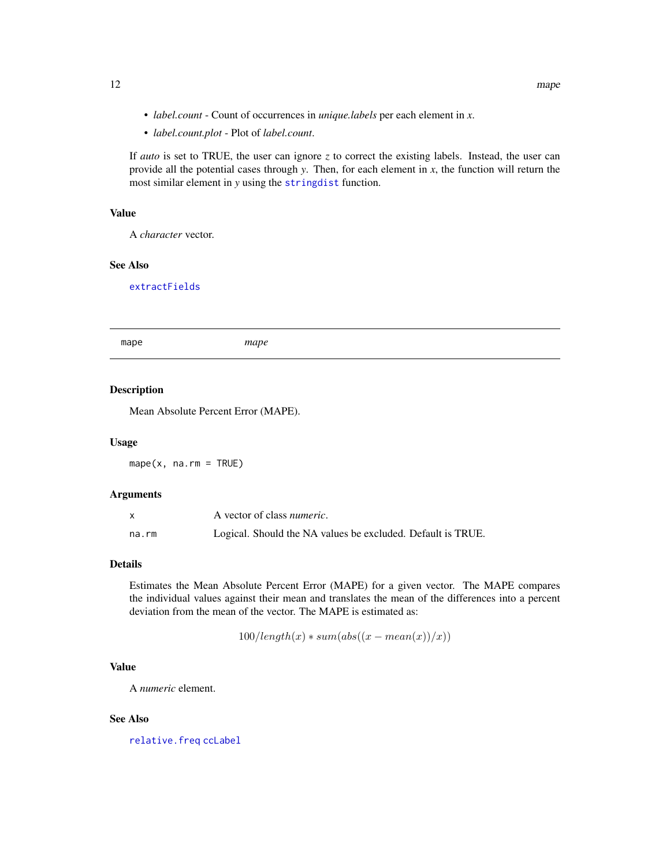- <span id="page-11-0"></span>• *label.count* - Count of occurrences in *unique.labels* per each element in *x*.
- *label.count.plot* Plot of *label.count*.

If *auto* is set to TRUE, the user can ignore *z* to correct the existing labels. Instead, the user can provide all the potential cases through *y*. Then, for each element in *x*, the function will return the most similar element in *y* using the [stringdist](#page-0-0) function.

### Value

A *character* vector.

# See Also

[extractFields](#page-7-1)

<span id="page-11-1"></span>mape *mape*

### Description

Mean Absolute Percent Error (MAPE).

### Usage

 $mape(x, na.rm = TRUE)$ 

### Arguments

|       | A vector of class <i>numeric</i> .                          |
|-------|-------------------------------------------------------------|
| na.rm | Logical. Should the NA values be excluded. Default is TRUE. |

# Details

Estimates the Mean Absolute Percent Error (MAPE) for a given vector. The MAPE compares the individual values against their mean and translates the mean of the differences into a percent deviation from the mean of the vector. The MAPE is estimated as:

$$
100/length(x)*sum(abs((x-mean(x))/x))
$$

# Value

A *numeric* element.

# See Also

[relative.freq](#page-18-1) [ccLabel](#page-1-1)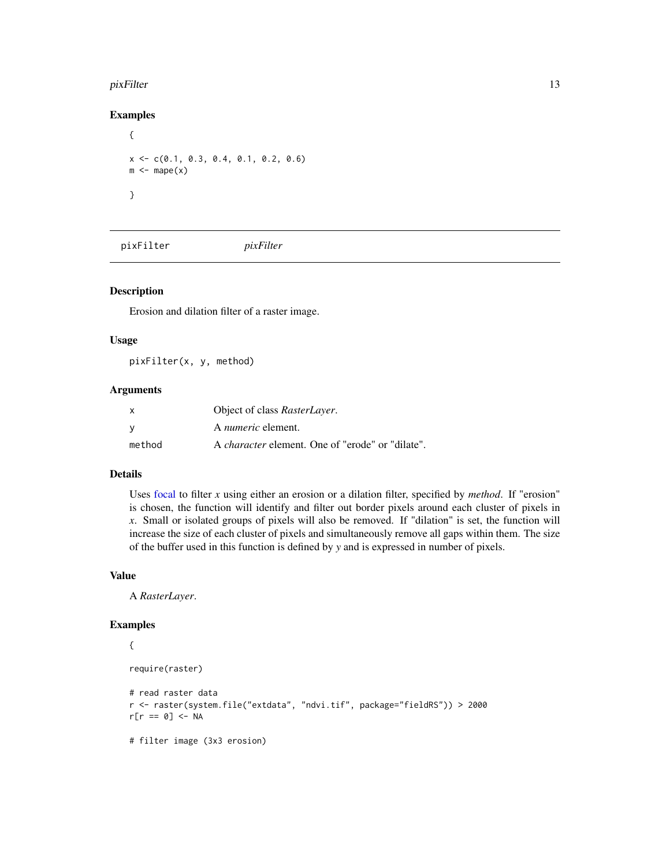### <span id="page-12-0"></span>pixFilter that the contract of the contract of the contract of the contract of the contract of the contract of the contract of the contract of the contract of the contract of the contract of the contract of the contract of

# Examples

```
{
x \leq -c(0.1, 0.3, 0.4, 0.1, 0.2, 0.6)m \leq - \text{mape}(x)}
```
pixFilter *pixFilter*

# Description

Erosion and dilation filter of a raster image.

### Usage

pixFilter(x, y, method)

# Arguments

| X      | Object of class RasterLayer.                            |
|--------|---------------------------------------------------------|
| - V    | A <i>numeric</i> element.                               |
| method | A <i>character</i> element. One of "erode" or "dilate". |

### Details

Uses [focal](#page-0-0) to filter *x* using either an erosion or a dilation filter, specified by *method*. If "erosion" is chosen, the function will identify and filter out border pixels around each cluster of pixels in *x*. Small or isolated groups of pixels will also be removed. If "dilation" is set, the function will increase the size of each cluster of pixels and simultaneously remove all gaps within them. The size of the buffer used in this function is defined by *y* and is expressed in number of pixels.

# Value

A *RasterLayer*.

# Examples {

```
require(raster)
```

```
# read raster data
r <- raster(system.file("extdata", "ndvi.tif", package="fieldRS")) > 2000
r[r == 0] < -NA# filter image (3x3 erosion)
```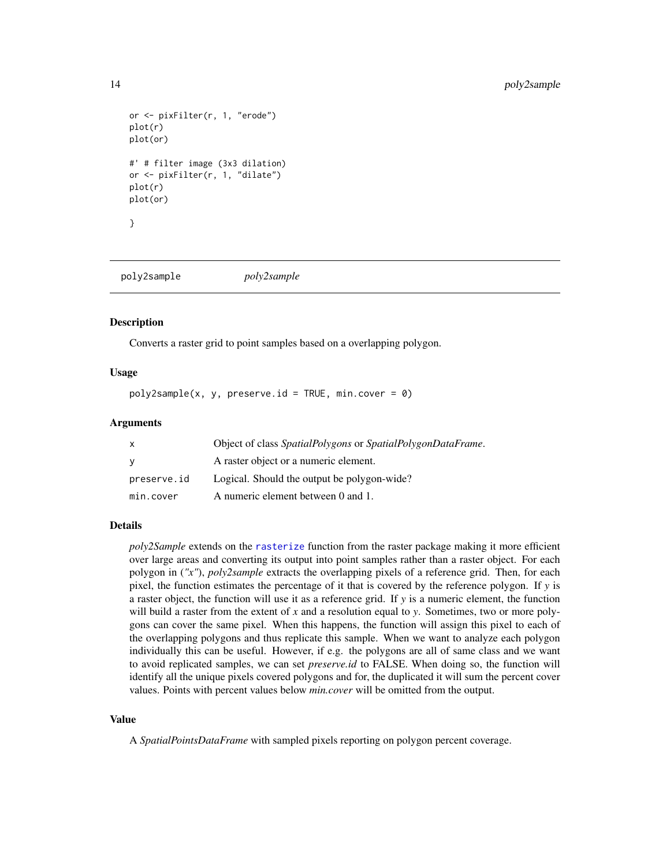```
or <- pixFilter(r, 1, "erode")
plot(r)
plot(or)
#' # filter image (3x3 dilation)
or <- pixFilter(r, 1, "dilate")
plot(r)
plot(or)
}
```
<span id="page-13-1"></span>poly2sample *poly2sample*

### Description

Converts a raster grid to point samples based on a overlapping polygon.

### Usage

 $poly2sample(x, y, presence.i d = TRUE, min.core = 0)$ 

### Arguments

| $\mathsf{x}$ | Object of class SpatialPolygons or SpatialPolygonDataFrame. |
|--------------|-------------------------------------------------------------|
| <b>V</b>     | A raster object or a numeric element.                       |
| preserve.id  | Logical. Should the output be polygon-wide?                 |
| min.cover    | A numeric element between 0 and 1.                          |

### Details

*poly2Sample* extends on the [rasterize](#page-0-0) function from the raster package making it more efficient over large areas and converting its output into point samples rather than a raster object. For each polygon in (*"x"*), *poly2sample* extracts the overlapping pixels of a reference grid. Then, for each pixel, the function estimates the percentage of it that is covered by the reference polygon. If *y* is a raster object, the function will use it as a reference grid. If *y* is a numeric element, the function will build a raster from the extent of *x* and a resolution equal to *y*. Sometimes, two or more polygons can cover the same pixel. When this happens, the function will assign this pixel to each of the overlapping polygons and thus replicate this sample. When we want to analyze each polygon individually this can be useful. However, if e.g. the polygons are all of same class and we want to avoid replicated samples, we can set *preserve.id* to FALSE. When doing so, the function will identify all the unique pixels covered polygons and for, the duplicated it will sum the percent cover values. Points with percent values below *min.cover* will be omitted from the output.

### Value

A *SpatialPointsDataFrame* with sampled pixels reporting on polygon percent coverage.

<span id="page-13-0"></span>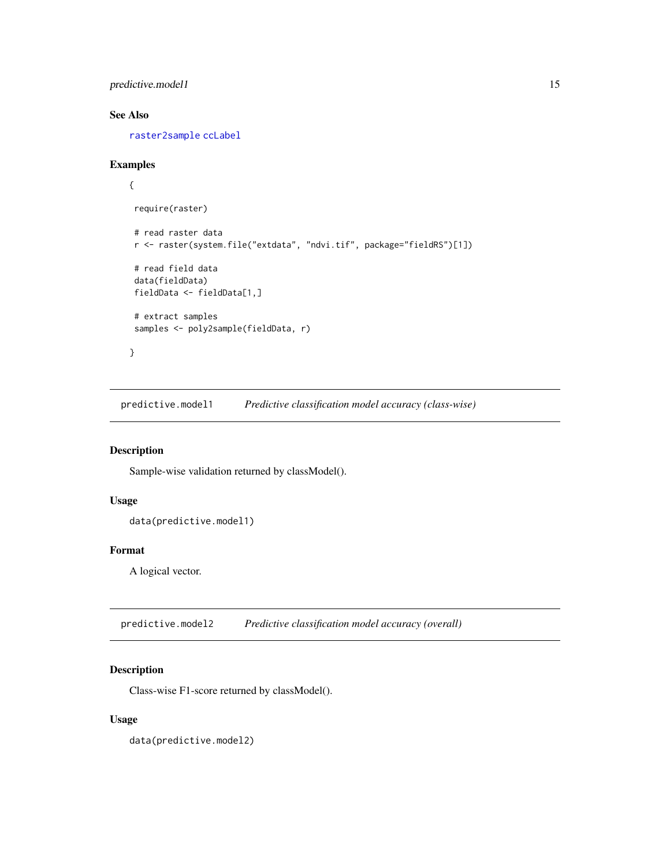<span id="page-14-0"></span>predictive.model1 15

# See Also

[raster2sample](#page-17-1) [ccLabel](#page-1-1)

# Examples

```
{
 require(raster)
 # read raster data
 r <- raster(system.file("extdata", "ndvi.tif", package="fieldRS")[1])
 # read field data
 data(fieldData)
 fieldData <- fieldData[1,]
 # extract samples
 samples <- poly2sample(fieldData, r)
}
```
predictive.model1 *Predictive classification model accuracy (class-wise)*

# Description

Sample-wise validation returned by classModel().

# Usage

```
data(predictive.model1)
```
### Format

A logical vector.

predictive.model2 *Predictive classification model accuracy (overall)*

# Description

Class-wise F1-score returned by classModel().

# Usage

data(predictive.model2)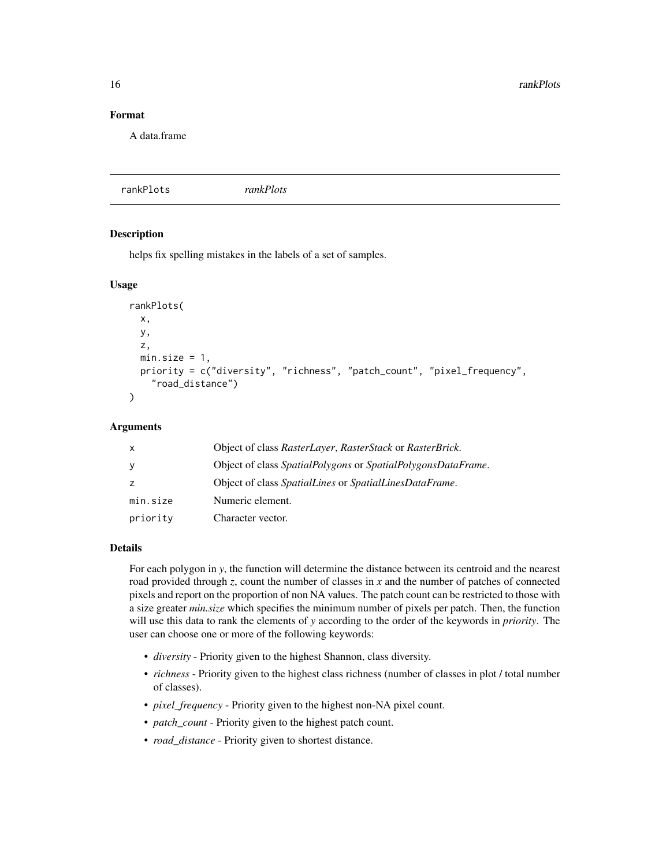<span id="page-15-0"></span>16 rankPlots

# Format

A data.frame

<span id="page-15-1"></span>rankPlots *rankPlots*

# Description

helps fix spelling mistakes in the labels of a set of samples.

### Usage

```
rankPlots(
  x,
 y,
  z,
 min.size = 1,
 priority = c("diversity", "richness", "patch_count", "pixel_frequency",
    "road_distance")
)
```
### Arguments

| $\mathsf{X}$ | Object of class RasterLayer, RasterStack or RasterBrick.     |
|--------------|--------------------------------------------------------------|
| y            | Object of class SpatialPolygons or SpatialPolygonsDataFrame. |
|              | Object of class SpatialLines or SpatialLinesDataFrame.       |
| min.size     | Numeric element.                                             |
| priority     | Character vector.                                            |

### Details

For each polygon in *y*, the function will determine the distance between its centroid and the nearest road provided through *z*, count the number of classes in *x* and the number of patches of connected pixels and report on the proportion of non NA values. The patch count can be restricted to those with a size greater *min.size* which specifies the minimum number of pixels per patch. Then, the function will use this data to rank the elements of *y* according to the order of the keywords in *priority*. The user can choose one or more of the following keywords:

- *diversity* Priority given to the highest Shannon, class diversity.
- *richness* Priority given to the highest class richness (number of classes in plot / total number of classes).
- *pixel\_frequency* Priority given to the highest non-NA pixel count.
- *patch\_count* Priority given to the highest patch count.
- *road\_distance* Priority given to shortest distance.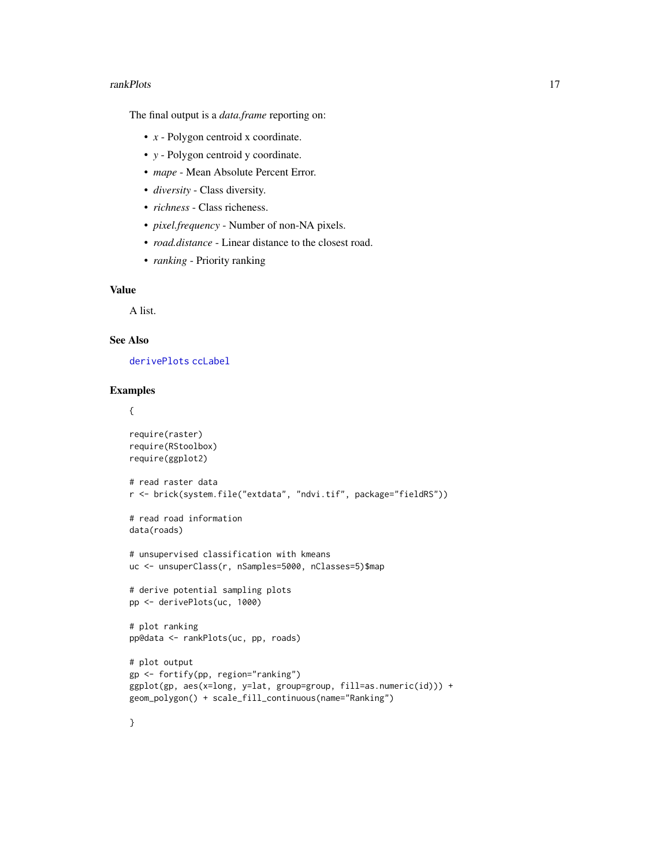### <span id="page-16-0"></span>**rankPlots** 17

The final output is a *data.frame* reporting on:

- *x* Polygon centroid x coordinate.
- *y* Polygon centroid y coordinate.
- *mape* Mean Absolute Percent Error.
- *diversity* Class diversity.
- *richness* Class richeness.
- *pixel.frequency* Number of non-NA pixels.
- *road.distance* Linear distance to the closest road.
- *ranking* Priority ranking

# Value

A list.

# See Also

[derivePlots](#page-5-1) [ccLabel](#page-1-1)

# Examples

# {

```
require(raster)
require(RStoolbox)
require(ggplot2)
# read raster data
r <- brick(system.file("extdata", "ndvi.tif", package="fieldRS"))
# read road information
data(roads)
# unsupervised classification with kmeans
uc <- unsuperClass(r, nSamples=5000, nClasses=5)$map
# derive potential sampling plots
pp <- derivePlots(uc, 1000)
# plot ranking
pp@data <- rankPlots(uc, pp, roads)
# plot output
gp <- fortify(pp, region="ranking")
ggplot(gp, aes(x=long, y=lat, group=group, fill=as.numeric(id))) +
geom_polygon() + scale_fill_continuous(name="Ranking")
```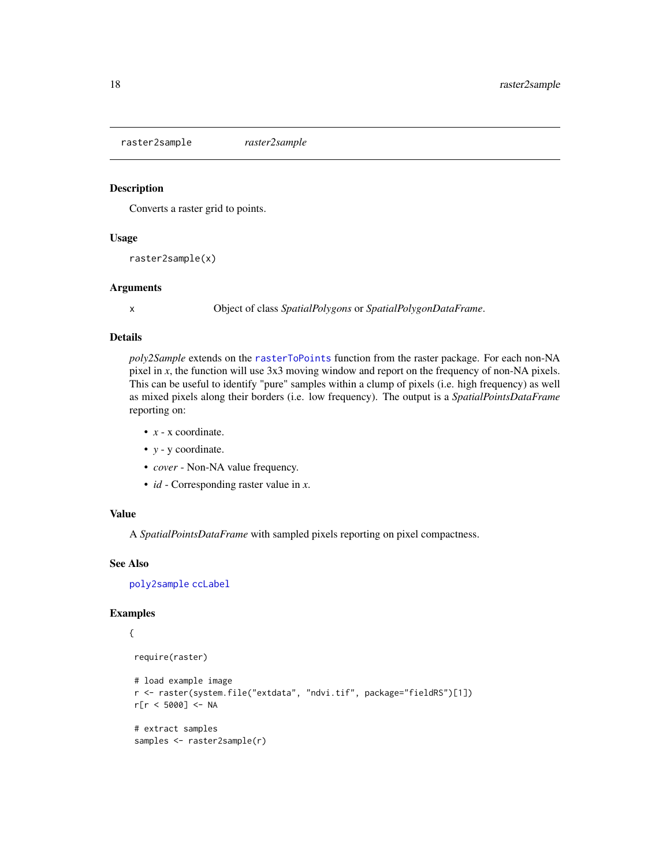<span id="page-17-1"></span><span id="page-17-0"></span>raster2sample *raster2sample*

### Description

Converts a raster grid to points.

# Usage

raster2sample(x)

# Arguments

x Object of class *SpatialPolygons* or *SpatialPolygonDataFrame*.

# Details

*poly2Sample* extends on the [rasterToPoints](#page-0-0) function from the raster package. For each non-NA pixel in *x*, the function will use 3x3 moving window and report on the frequency of non-NA pixels. This can be useful to identify "pure" samples within a clump of pixels (i.e. high frequency) as well as mixed pixels along their borders (i.e. low frequency). The output is a *SpatialPointsDataFrame* reporting on:

- *x* x coordinate.
- *y* y coordinate.
- *cover* Non-NA value frequency.
- *id* Corresponding raster value in *x*.

## Value

A *SpatialPointsDataFrame* with sampled pixels reporting on pixel compactness.

### See Also

[poly2sample](#page-13-1) [ccLabel](#page-1-1)

### Examples

```
{
require(raster)
 # load example image
r <- raster(system.file("extdata", "ndvi.tif", package="fieldRS")[1])
r[r < 5000] <- NA
# extract samples
 samples <- raster2sample(r)
```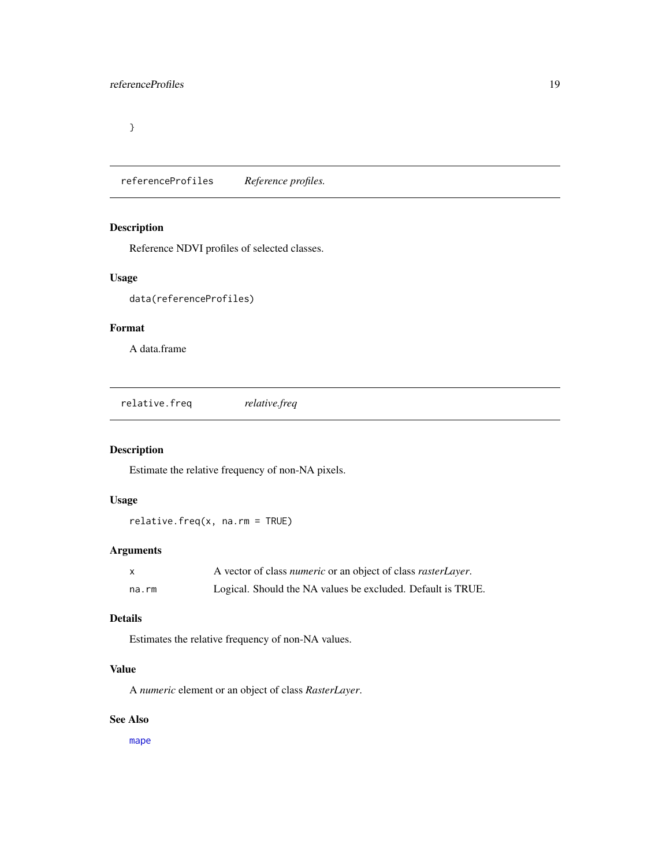<span id="page-18-0"></span>}

referenceProfiles *Reference profiles.*

# Description

Reference NDVI profiles of selected classes.

### Usage

```
data(referenceProfiles)
```
# Format

A data.frame

<span id="page-18-1"></span>relative.freq *relative.freq*

# Description

Estimate the relative frequency of non-NA pixels.

# Usage

relative.freq(x, na.rm = TRUE)

# Arguments

| X     | A vector of class <i>numeric</i> or an object of class <i>rasterLayer</i> . |
|-------|-----------------------------------------------------------------------------|
| na.rm | Logical. Should the NA values be excluded. Default is TRUE.                 |

# Details

Estimates the relative frequency of non-NA values.

# Value

A *numeric* element or an object of class *RasterLayer*.

# See Also

[mape](#page-11-1)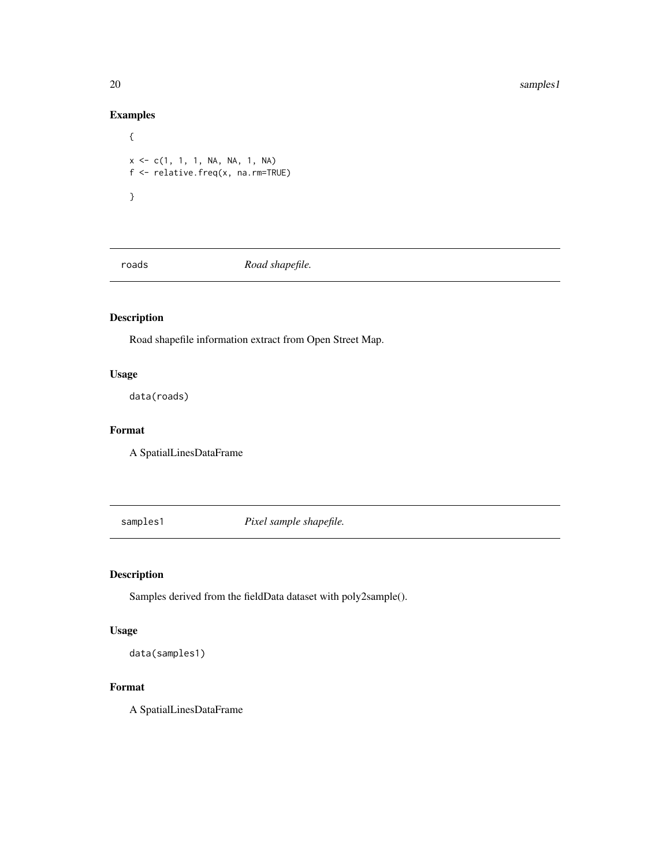20 samples 1

# Examples

```
{
x \leq -c(1, 1, 1, NA, NA, 1, NA)f <- relative.freq(x, na.rm=TRUE)
}
```
roads *Road shapefile.*

# Description

Road shapefile information extract from Open Street Map.

# Usage

data(roads)

# Format

A SpatialLinesDataFrame

samples1 *Pixel sample shapefile.*

# Description

Samples derived from the fieldData dataset with poly2sample().

# Usage

```
data(samples1)
```
# Format

A SpatialLinesDataFrame

<span id="page-19-0"></span>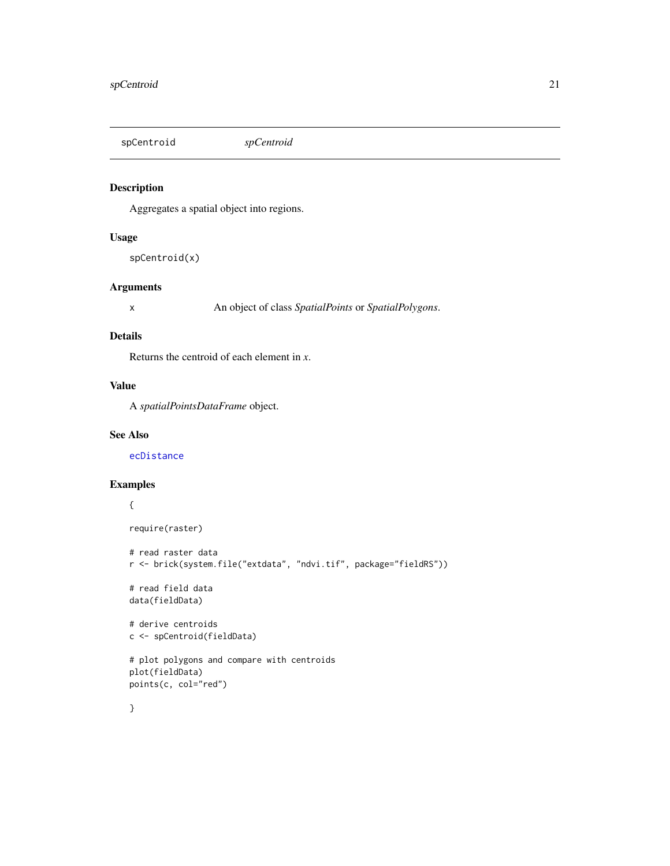<span id="page-20-1"></span><span id="page-20-0"></span>spCentroid *spCentroid*

# Description

Aggregates a spatial object into regions.

# Usage

```
spCentroid(x)
```
# Arguments

x An object of class *SpatialPoints* or *SpatialPolygons*.

### Details

Returns the centroid of each element in *x*.

# Value

A *spatialPointsDataFrame* object.

### See Also

[ecDistance](#page-6-1)

# Examples

# {

```
require(raster)
```

```
# read raster data
r <- brick(system.file("extdata", "ndvi.tif", package="fieldRS"))
# read field data
data(fieldData)
# derive centroids
c <- spCentroid(fieldData)
# plot polygons and compare with centroids
plot(fieldData)
points(c, col="red")
}
```